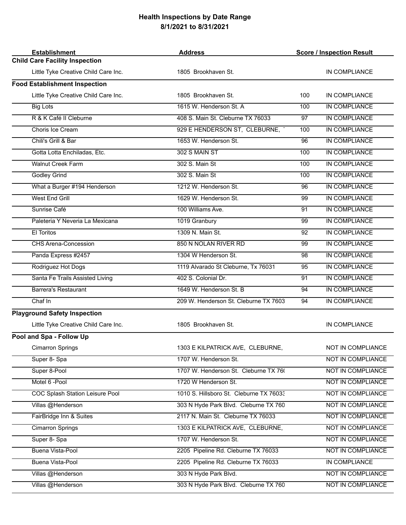## **Health Inspections by Date Range 8/1/2021 to 8/31/2021**

| <b>Establishment</b>                  | <b>Address</b>                          | <b>Score / Inspection Result</b> |                          |
|---------------------------------------|-----------------------------------------|----------------------------------|--------------------------|
| <b>Child Care Facility Inspection</b> |                                         |                                  |                          |
| Little Tyke Creative Child Care Inc.  | 1805 Brookhaven St.                     |                                  | IN COMPLIANCE            |
| <b>Food Establishment Inspection</b>  |                                         |                                  |                          |
| Little Tyke Creative Child Care Inc.  | 1805 Brookhaven St.                     | 100                              | IN COMPLIANCE            |
| <b>Big Lots</b>                       | 1615 W. Henderson St. A                 | 100                              | IN COMPLIANCE            |
| R & K Café II Cleburne                | 408 S. Main St. Cleburne TX 76033       | 97                               | IN COMPLIANCE            |
| Choris Ice Cream                      | 929 E HENDERSON ST, CLEBURNE,           | 100                              | IN COMPLIANCE            |
| Chili's Grill & Bar                   | 1653 W. Henderson St.                   | 96                               | IN COMPLIANCE            |
| Gotta Lotta Enchiladas, Etc.          | 302 S MAIN ST                           | 100                              | IN COMPLIANCE            |
| <b>Walnut Creek Farm</b>              | 302 S. Main St                          | 100                              | IN COMPLIANCE            |
| <b>Godley Grind</b>                   | 302 S. Main St                          | 100                              | IN COMPLIANCE            |
| What a Burger #194 Henderson          | 1212 W. Henderson St.                   | 96                               | <b>IN COMPLIANCE</b>     |
| <b>West End Grill</b>                 | 1629 W. Henderson St.                   | 99                               | IN COMPLIANCE            |
| Sunrise Café                          | 100 Williams Ave.                       | 91                               | IN COMPLIANCE            |
| Paleteria Y Neveria La Mexicana       | 1019 Granbury                           | 99                               | IN COMPLIANCE            |
| El Toritos                            | 1309 N. Main St.                        | 92                               | IN COMPLIANCE            |
| CHS Arena-Concession                  | 850 N NOLAN RIVER RD                    | 99                               | IN COMPLIANCE            |
| Panda Express #2457                   | 1304 W Henderson St.                    | 98                               | IN COMPLIANCE            |
| Rodriguez Hot Dogs                    | 1119 Alvarado St Cleburne, Tx 76031     | 95                               | IN COMPLIANCE            |
| Santa Fe Trails Assisted Living       | 402 S. Colonial Dr.                     | 91                               | <b>IN COMPLIANCE</b>     |
| <b>Barrera's Restaurant</b>           | 1649 W. Henderson St. B                 | 94                               | <b>IN COMPLIANCE</b>     |
| Chaf In                               | 209 W. Henderson St. Cleburne TX 7603   | 94                               | <b>IN COMPLIANCE</b>     |
| <b>Playground Safety Inspection</b>   |                                         |                                  |                          |
| Little Tyke Creative Child Care Inc.  | 1805 Brookhaven St.                     |                                  | IN COMPLIANCE            |
| Pool and Spa - Follow Up              |                                         |                                  |                          |
| <b>Cimarron Springs</b>               | 1303 E KILPATRICK AVE, CLEBURNE,        |                                  | NOT IN COMPLIANCE        |
| Super 8- Spa                          | 1707 W. Henderson St.                   |                                  | NOT IN COMPLIANCE        |
| Super 8-Pool                          | 1707 W. Henderson St. Cleburne TX 760   |                                  | NOT IN COMPLIANCE        |
| Motel 6 - Pool                        | 1720 W Henderson St.                    |                                  | <b>NOT IN COMPLIANCE</b> |
| COC Splash Station Leisure Pool       | 1010 S. Hillsboro St. Cleburne TX 76033 |                                  | <b>NOT IN COMPLIANCE</b> |
| Villas @Henderson                     | 303 N Hyde Park Blvd. Cleburne TX 760   |                                  | NOT IN COMPLIANCE        |
| FairBridge Inn & Suites               | 2117 N. Main St. Cleburne TX 76033      |                                  | NOT IN COMPLIANCE        |
| <b>Cimarron Springs</b>               | 1303 E KILPATRICK AVE, CLEBURNE,        |                                  | NOT IN COMPLIANCE        |
| Super 8- Spa                          | 1707 W. Henderson St.                   |                                  | NOT IN COMPLIANCE        |
| Buena Vista-Pool                      | 2205 Pipeline Rd. Cleburne TX 76033     |                                  | NOT IN COMPLIANCE        |
| Buena Vista-Pool                      | 2205 Pipeline Rd. Cleburne TX 76033     |                                  | IN COMPLIANCE            |
| Villas @Henderson                     | 303 N Hyde Park Blvd.                   |                                  | NOT IN COMPLIANCE        |
| Villas @Henderson                     | 303 N Hyde Park Blvd. Cleburne TX 760   |                                  | NOT IN COMPLIANCE        |